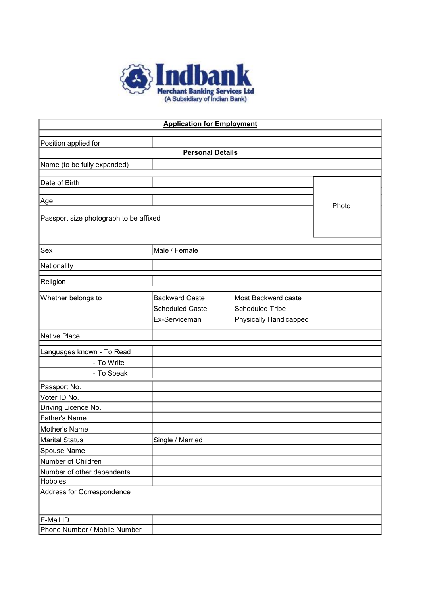

| <b>Application for Employment</b>      |                        |                        |       |  |  |
|----------------------------------------|------------------------|------------------------|-------|--|--|
| Position applied for                   |                        |                        |       |  |  |
| <b>Personal Details</b>                |                        |                        |       |  |  |
| Name (to be fully expanded)            |                        |                        |       |  |  |
|                                        |                        |                        |       |  |  |
| Date of Birth                          |                        |                        |       |  |  |
|                                        |                        |                        |       |  |  |
| Age                                    |                        |                        | Photo |  |  |
| Passport size photograph to be affixed |                        |                        |       |  |  |
|                                        |                        |                        |       |  |  |
|                                        |                        |                        |       |  |  |
| Sex                                    | Male / Female          |                        |       |  |  |
| Nationality                            |                        |                        |       |  |  |
|                                        |                        |                        |       |  |  |
| Religion                               |                        |                        |       |  |  |
| Whether belongs to                     | <b>Backward Caste</b>  | Most Backward caste    |       |  |  |
|                                        | <b>Scheduled Caste</b> | <b>Scheduled Tribe</b> |       |  |  |
|                                        | Ex-Serviceman          | Physically Handicapped |       |  |  |
| Native Place                           |                        |                        |       |  |  |
| Languages known - To Read              |                        |                        |       |  |  |
| - To Write                             |                        |                        |       |  |  |
| - To Speak                             |                        |                        |       |  |  |
| Passport No.                           |                        |                        |       |  |  |
| Voter ID No.                           |                        |                        |       |  |  |
| Driving Licence No.                    |                        |                        |       |  |  |
| <b>Father's Name</b>                   |                        |                        |       |  |  |
| Mother's Name                          |                        |                        |       |  |  |
| Marital Status                         | Single / Married       |                        |       |  |  |
| Spouse Name                            |                        |                        |       |  |  |
| Number of Children                     |                        |                        |       |  |  |
| Number of other dependents             |                        |                        |       |  |  |
| <b>Hobbies</b>                         |                        |                        |       |  |  |
| Address for Correspondence             |                        |                        |       |  |  |
| E-Mail ID                              |                        |                        |       |  |  |
| Phone Number / Mobile Number           |                        |                        |       |  |  |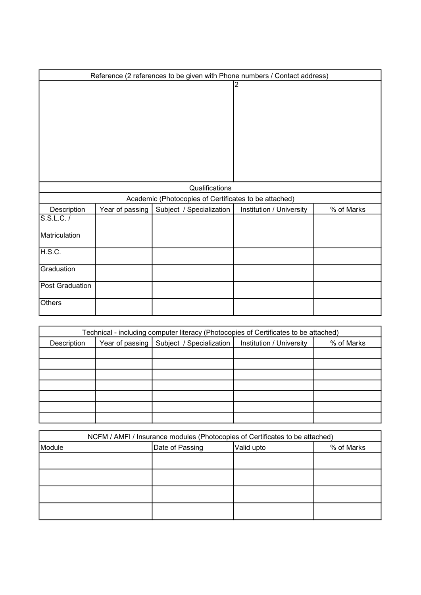| Reference (2 references to be given with Phone numbers / Contact address) |                 |                                                       |                          |            |
|---------------------------------------------------------------------------|-----------------|-------------------------------------------------------|--------------------------|------------|
|                                                                           |                 |                                                       | 2                        |            |
|                                                                           |                 | Qualifications                                        |                          |            |
|                                                                           |                 | Academic (Photocopies of Certificates to be attached) |                          |            |
| Description                                                               | Year of passing | Subject / Specialization                              | Institution / University | % of Marks |
| S.S.L.C. /                                                                |                 |                                                       |                          |            |
| Matriculation                                                             |                 |                                                       |                          |            |
| H.S.C.                                                                    |                 |                                                       |                          |            |
| Graduation                                                                |                 |                                                       |                          |            |
| Post Graduation                                                           |                 |                                                       |                          |            |
| Others                                                                    |                 |                                                       |                          |            |

| Technical - including computer literacy (Photocopies of Certificates to be attached) |                 |                          |                          |            |
|--------------------------------------------------------------------------------------|-----------------|--------------------------|--------------------------|------------|
| Description                                                                          | Year of passing | Subject / Specialization | Institution / University | % of Marks |
|                                                                                      |                 |                          |                          |            |
|                                                                                      |                 |                          |                          |            |
|                                                                                      |                 |                          |                          |            |
|                                                                                      |                 |                          |                          |            |
|                                                                                      |                 |                          |                          |            |
|                                                                                      |                 |                          |                          |            |
|                                                                                      |                 |                          |                          |            |

| NCFM / AMFI / Insurance modules (Photocopies of Certificates to be attached) |                 |            |            |  |
|------------------------------------------------------------------------------|-----------------|------------|------------|--|
| Module                                                                       | Date of Passing | Valid upto | % of Marks |  |
|                                                                              |                 |            |            |  |
|                                                                              |                 |            |            |  |
|                                                                              |                 |            |            |  |
|                                                                              |                 |            |            |  |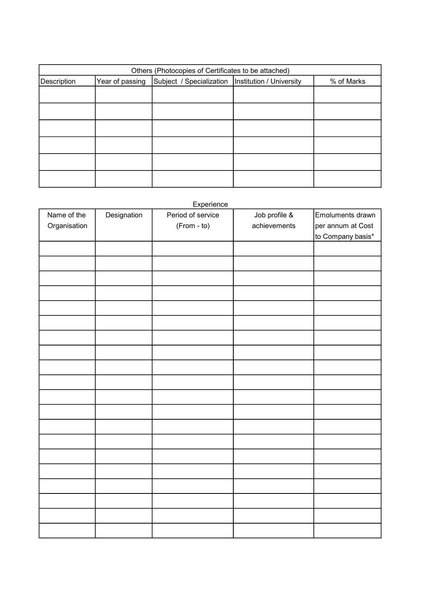| Others (Photocopies of Certificates to be attached) |                                                                                      |  |  |  |  |  |
|-----------------------------------------------------|--------------------------------------------------------------------------------------|--|--|--|--|--|
| Description                                         | Subject / Specialization   Institution / University<br>Year of passing<br>% of Marks |  |  |  |  |  |
|                                                     |                                                                                      |  |  |  |  |  |
|                                                     |                                                                                      |  |  |  |  |  |
|                                                     |                                                                                      |  |  |  |  |  |
|                                                     |                                                                                      |  |  |  |  |  |
|                                                     |                                                                                      |  |  |  |  |  |
|                                                     |                                                                                      |  |  |  |  |  |

## Experience

| Name of the  | Designation | <b>Experience</b><br>Period of service | Job profile & | Emoluments drawn  |
|--------------|-------------|----------------------------------------|---------------|-------------------|
| Organisation |             | (From - to)                            | achievements  | per annum at Cost |
|              |             |                                        |               | to Company basis* |
|              |             |                                        |               |                   |
|              |             |                                        |               |                   |
|              |             |                                        |               |                   |
|              |             |                                        |               |                   |
|              |             |                                        |               |                   |
|              |             |                                        |               |                   |
|              |             |                                        |               |                   |
|              |             |                                        |               |                   |
|              |             |                                        |               |                   |
|              |             |                                        |               |                   |
|              |             |                                        |               |                   |
|              |             |                                        |               |                   |
|              |             |                                        |               |                   |
|              |             |                                        |               |                   |
|              |             |                                        |               |                   |
|              |             |                                        |               |                   |
|              |             |                                        |               |                   |
|              |             |                                        |               |                   |
|              |             |                                        |               |                   |
|              |             |                                        |               |                   |